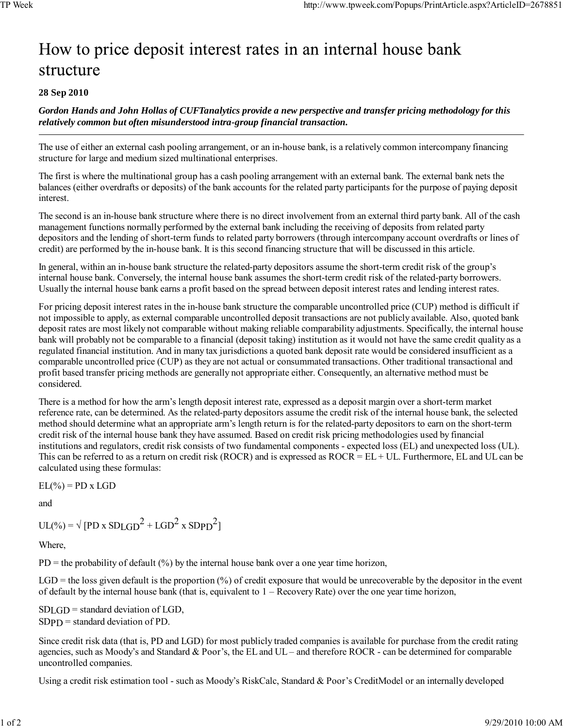## How to price deposit interest rates in an internal house bank structure

## **28 Sep 2010**

*Gordon Hands and John Hollas of CUFTanalytics provide a new perspective and transfer pricing methodology for this relatively common but often misunderstood intra-group financial transaction.*

The use of either an external cash pooling arrangement, or an in-house bank, is a relatively common intercompany financing structure for large and medium sized multinational enterprises.

The first is where the multinational group has a cash pooling arrangement with an external bank. The external bank nets the balances (either overdrafts or deposits) of the bank accounts for the related party participants for the purpose of paying deposit interest.

The second is an in-house bank structure where there is no direct involvement from an external third party bank. All of the cash management functions normally performed by the external bank including the receiving of deposits from related party depositors and the lending of short-term funds to related party borrowers (through intercompany account overdrafts or lines of credit) are performed by the in-house bank. It is this second financing structure that will be discussed in this article.

In general, within an in-house bank structure the related-party depositors assume the short-term credit risk of the group's internal house bank. Conversely, the internal house bank assumes the short-term credit risk of the related-party borrowers. Usually the internal house bank earns a profit based on the spread between deposit interest rates and lending interest rates.

For pricing deposit interest rates in the in-house bank structure the comparable uncontrolled price (CUP) method is difficult if not impossible to apply, as external comparable uncontrolled deposit transactions are not publicly available. Also, quoted bank deposit rates are most likely not comparable without making reliable comparability adjustments. Specifically, the internal house bank will probably not be comparable to a financial (deposit taking) institution as it would not have the same credit quality as a regulated financial institution. And in many tax jurisdictions a quoted bank deposit rate would be considered insufficient as a comparable uncontrolled price (CUP) as they are not actual or consummated transactions. Other traditional transactional and profit based transfer pricing methods are generally not appropriate either. Consequently, an alternative method must be considered.

There is a method for how the arm's length deposit interest rate, expressed as a deposit margin over a short-term market reference rate, can be determined. As the related-party depositors assume the credit risk of the internal house bank, the selected method should determine what an appropriate arm's length return is for the related-party depositors to earn on the short-term credit risk of the internal house bank they have assumed. Based on credit risk pricing methodologies used by financial institutions and regulators, credit risk consists of two fundamental components - expected loss (EL) and unexpected loss (UL). This can be referred to as a return on credit risk (ROCR) and is expressed as ROCR = EL + UL. Furthermore, EL and UL can be calculated using these formulas:

 $EL(\%) = PD \times LGD$ 

and

 $UL(\%) = \sqrt{[PD \times SDLGD^2 + LGD^2 \times SDPD^2]}$ 

Where,

 $PD =$  the probability of default  $(\%)$  by the internal house bank over a one year time horizon,

 $LGD$  = the loss given default is the proportion (%) of credit exposure that would be unrecoverable by the depositor in the event of default by the internal house bank (that is, equivalent to 1 – Recovery Rate) over the one year time horizon,

 $SDLGD = standard deviation of LGD$ ,  $SDPD = standard deviation of PD$ .

Since credit risk data (that is, PD and LGD) for most publicly traded companies is available for purchase from the credit rating agencies, such as Moody's and Standard & Poor's, the EL and UL – and therefore ROCR - can be determined for comparable uncontrolled companies.

Using a credit risk estimation tool - such as Moody's RiskCalc, Standard & Poor's CreditModel or an internally developed